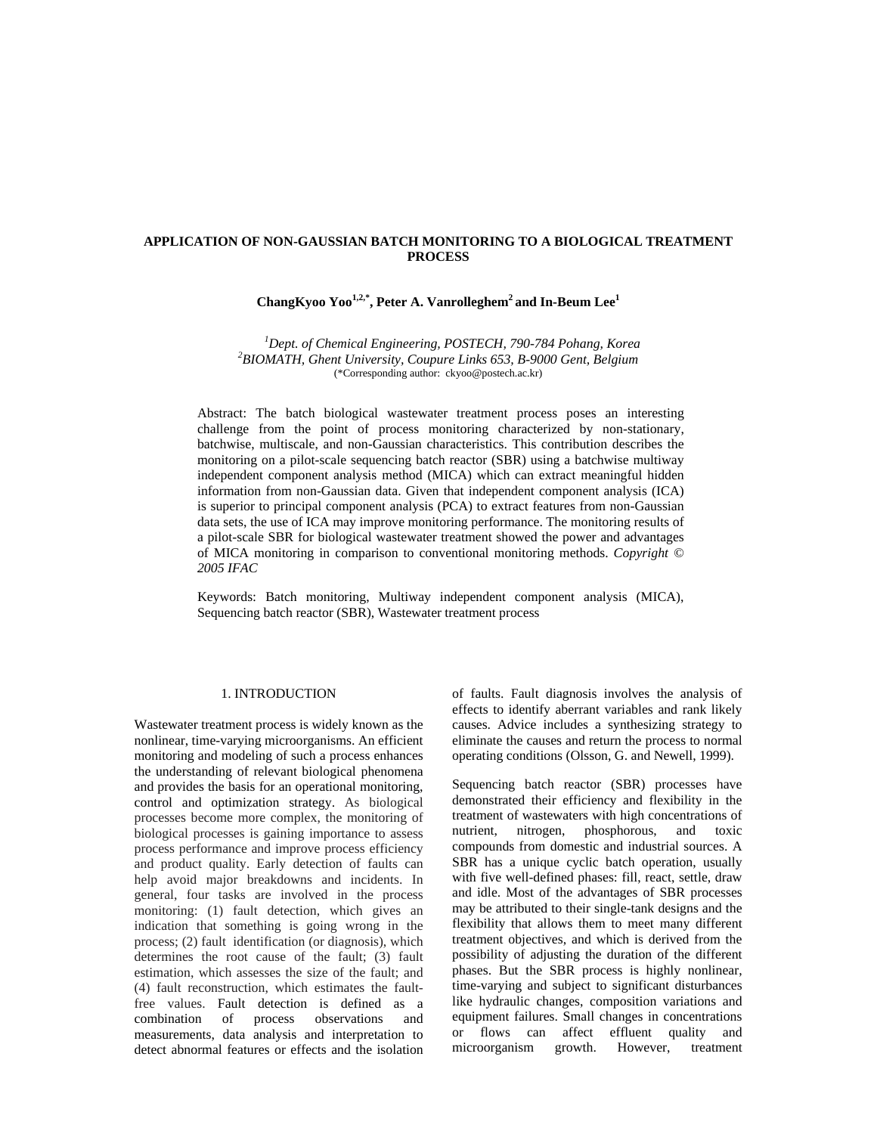# **APPLICATION OF NON-GAUSSIAN BATCH MONITORING TO A BIOLOGICAL TREATMENT PROCESS**

# **ChangKyoo Yoo1,2,\*, Peter A. Vanrolleghem2 and In-Beum Lee1**

<sup>1</sup> Dept. of Chemical Engineering, POSTECH, 790-784 Pohang, Korea <sup>2</sup> PIOMATH Chant University Counter 653, P, 0000 Cant Polaium *BIOMATH, Ghent University, Coupure Links 653, B-9000 Gent, Belgium* (\*Corresponding author: ckyoo@postech.ac.kr)

Abstract: The batch biological wastewater treatment process poses an interesting challenge from the point of process monitoring characterized by non-stationary, batchwise, multiscale, and non-Gaussian characteristics. This contribution describes the monitoring on a pilot-scale sequencing batch reactor (SBR) using a batchwise multiway independent component analysis method (MICA) which can extract meaningful hidden information from non-Gaussian data. Given that independent component analysis (ICA) is superior to principal component analysis (PCA) to extract features from non-Gaussian data sets, the use of ICA may improve monitoring performance. The monitoring results of a pilot-scale SBR for biological wastewater treatment showed the power and advantages of MICA monitoring in comparison to conventional monitoring methods. *Copyright © 2005 IFAC*

Keywords: Batch monitoring, Multiway independent component analysis (MICA), Sequencing batch reactor (SBR), Wastewater treatment process

# 1. INTRODUCTION

Wastewater treatment process is widely known as the nonlinear, time-varying microorganisms. An efficient monitoring and modeling of such a process enhances the understanding of relevant biological phenomena and provides the basis for an operational monitoring, control and optimization strategy. As biological processes become more complex, the monitoring of biological processes is gaining importance to assess process performance and improve process efficiency and product quality. Early detection of faults can help avoid major breakdowns and incidents. In general, four tasks are involved in the process monitoring: (1) fault detection, which gives an indication that something is going wrong in the process; (2) fault identification (or diagnosis), which determines the root cause of the fault; (3) fault estimation, which assesses the size of the fault; and (4) fault reconstruction, which estimates the faultfree values. Fault detection is defined as a combination of process observations and measurements, data analysis and interpretation to detect abnormal features or effects and the isolation of faults. Fault diagnosis involves the analysis of effects to identify aberrant variables and rank likely causes. Advice includes a synthesizing strategy to eliminate the causes and return the process to normal operating conditions (Olsson, G. and Newell, 1999).

Sequencing batch reactor (SBR) processes have demonstrated their efficiency and flexibility in the treatment of wastewaters with high concentrations of nutrient, nitrogen, phosphorous, and toxic compounds from domestic and industrial sources. A SBR has a unique cyclic batch operation, usually with five well-defined phases: fill, react, settle, draw and idle. Most of the advantages of SBR processes may be attributed to their single-tank designs and the flexibility that allows them to meet many different treatment objectives, and which is derived from the possibility of adjusting the duration of the different phases. But the SBR process is highly nonlinear, time-varying and subject to significant disturbances like hydraulic changes, composition variations and equipment failures. Small changes in concentrations or flows can affect effluent quality and microorganism growth. However, treatment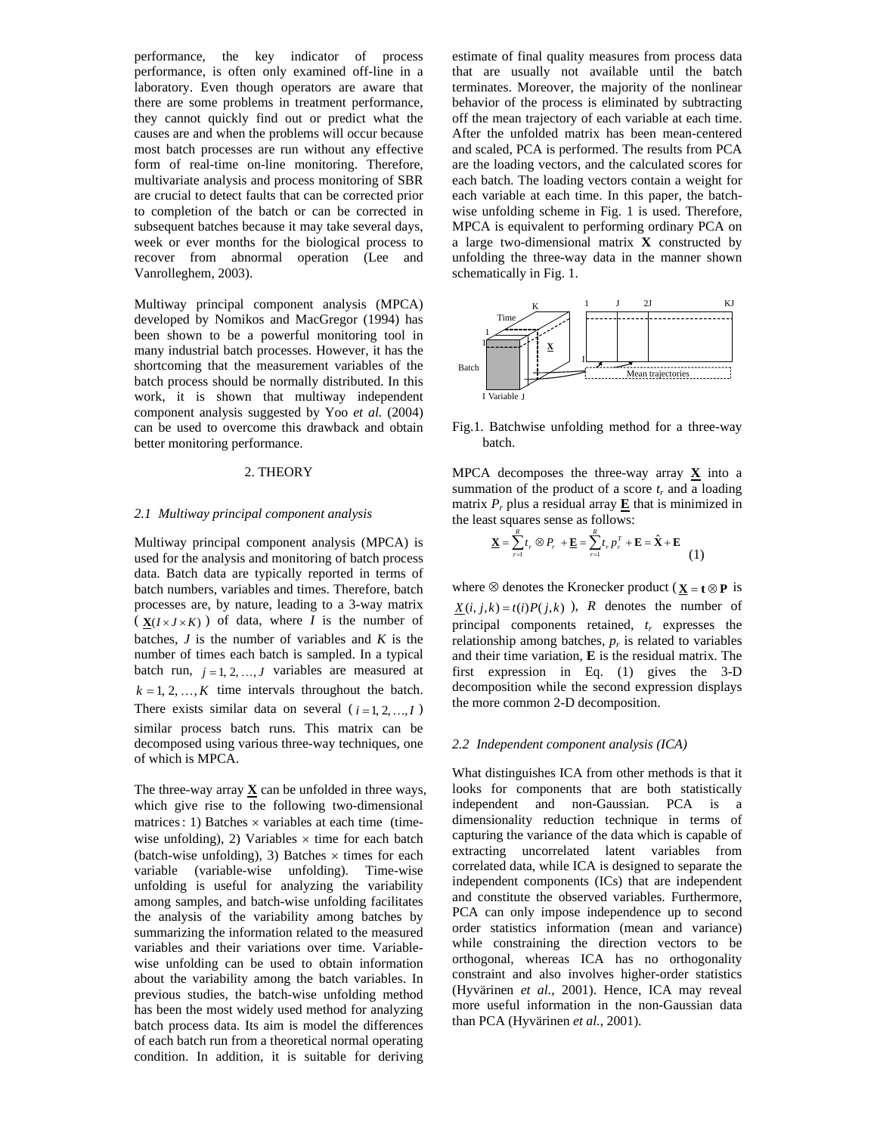performance, the key indicator of process performance, is often only examined off-line in a laboratory. Even though operators are aware that there are some problems in treatment performance, they cannot quickly find out or predict what the causes are and when the problems will occur because most batch processes are run without any effective form of real-time on-line monitoring. Therefore, multivariate analysis and process monitoring of SBR are crucial to detect faults that can be corrected prior to completion of the batch or can be corrected in subsequent batches because it may take several days, week or ever months for the biological process to recover from abnormal operation (Lee and Vanrolleghem, 2003).

Multiway principal component analysis (MPCA) developed by Nomikos and MacGregor (1994) has been shown to be a powerful monitoring tool in many industrial batch processes. However, it has the shortcoming that the measurement variables of the batch process should be normally distributed. In this work, it is shown that multiway independent component analysis suggested by Yoo *et al.* (2004) can be used to overcome this drawback and obtain better monitoring performance.

## 2. THEORY

#### *2.1 Multiway principal component analysis*

Multiway principal component analysis (MPCA) is used for the analysis and monitoring of batch process data. Batch data are typically reported in terms of batch numbers, variables and times. Therefore, batch processes are, by nature, leading to a 3-way matrix  $(X(I \times J \times K))$  of data, where *I* is the number of batches, *J* is the number of variables and *K* is the number of times each batch is sampled. In a typical batch run,  $j = 1, 2, ..., J$  variables are measured at  $k = 1, 2, \ldots, K$  time intervals throughout the batch. There exists similar data on several  $(i=1, 2, ..., I)$ similar process batch runs. This matrix can be decomposed using various three-way techniques, one of which is MPCA.

The three-way array  $X$  can be unfolded in three ways, which give rise to the following two-dimensional matrices: 1) Batches  $\times$  variables at each time (timewise unfolding), 2) Variables  $\times$  time for each batch (batch-wise unfolding), 3) Batches  $\times$  times for each variable (variable-wise unfolding). Time-wise unfolding is useful for analyzing the variability among samples, and batch-wise unfolding facilitates the analysis of the variability among batches by summarizing the information related to the measured variables and their variations over time. Variablewise unfolding can be used to obtain information about the variability among the batch variables. In previous studies, the batch-wise unfolding method has been the most widely used method for analyzing batch process data. Its aim is model the differences of each batch run from a theoretical normal operating condition. In addition, it is suitable for deriving

estimate of final quality measures from process data that are usually not available until the batch terminates. Moreover, the majority of the nonlinear behavior of the process is eliminated by subtracting off the mean trajectory of each variable at each time. After the unfolded matrix has been mean-centered and scaled, PCA is performed. The results from PCA are the loading vectors, and the calculated scores for each batch. The loading vectors contain a weight for each variable at each time. In this paper, the batchwise unfolding scheme in Fig. 1 is used. Therefore, MPCA is equivalent to performing ordinary PCA on a large two-dimensional matrix **X** constructed by unfolding the three-way data in the manner shown schematically in Fig. 1.



Fig.1. Batchwise unfolding method for a three-way batch.

MPCA decomposes the three-way array  $\underline{\mathbf{X}}$  into a summation of the product of a score  $t_r$  and a loading matrix  $P_r$  plus a residual array  $\underline{\mathbf{E}}$  that is minimized in the least squares sense as follows:

$$
\underline{\mathbf{X}} = \sum_{r=1}^{R} t_r \otimes P_r + \underline{\mathbf{E}} = \sum_{r=1}^{R} t_r p_r^T + \mathbf{E} = \hat{\mathbf{X}} + \mathbf{E}
$$
(1)

where  $\otimes$  denotes the Kronecker product ( $\mathbf{X} = \mathbf{t} \otimes \mathbf{P}$  is  $X(i, j, k) = t(i)P(j, k)$ , *R* denotes the number of principal components retained, *tr* expresses the relationship among batches,  $p_r$  is related to variables and their time variation, **E** is the residual matrix. The first expression in Eq. (1) gives the 3-D decomposition while the second expression displays the more common 2-D decomposition.

#### *2.2 Independent component analysis (ICA)*

What distinguishes ICA from other methods is that it looks for components that are both statistically independent and non-Gaussian. PCA is a dimensionality reduction technique in terms of capturing the variance of the data which is capable of extracting uncorrelated latent variables from correlated data, while ICA is designed to separate the independent components (ICs) that are independent and constitute the observed variables. Furthermore, PCA can only impose independence up to second order statistics information (mean and variance) while constraining the direction vectors to be orthogonal, whereas ICA has no orthogonality constraint and also involves higher-order statistics (Hyvärinen *et al.*, 2001). Hence, ICA may reveal more useful information in the non-Gaussian data than PCA (Hyvärinen *et al.*, 2001).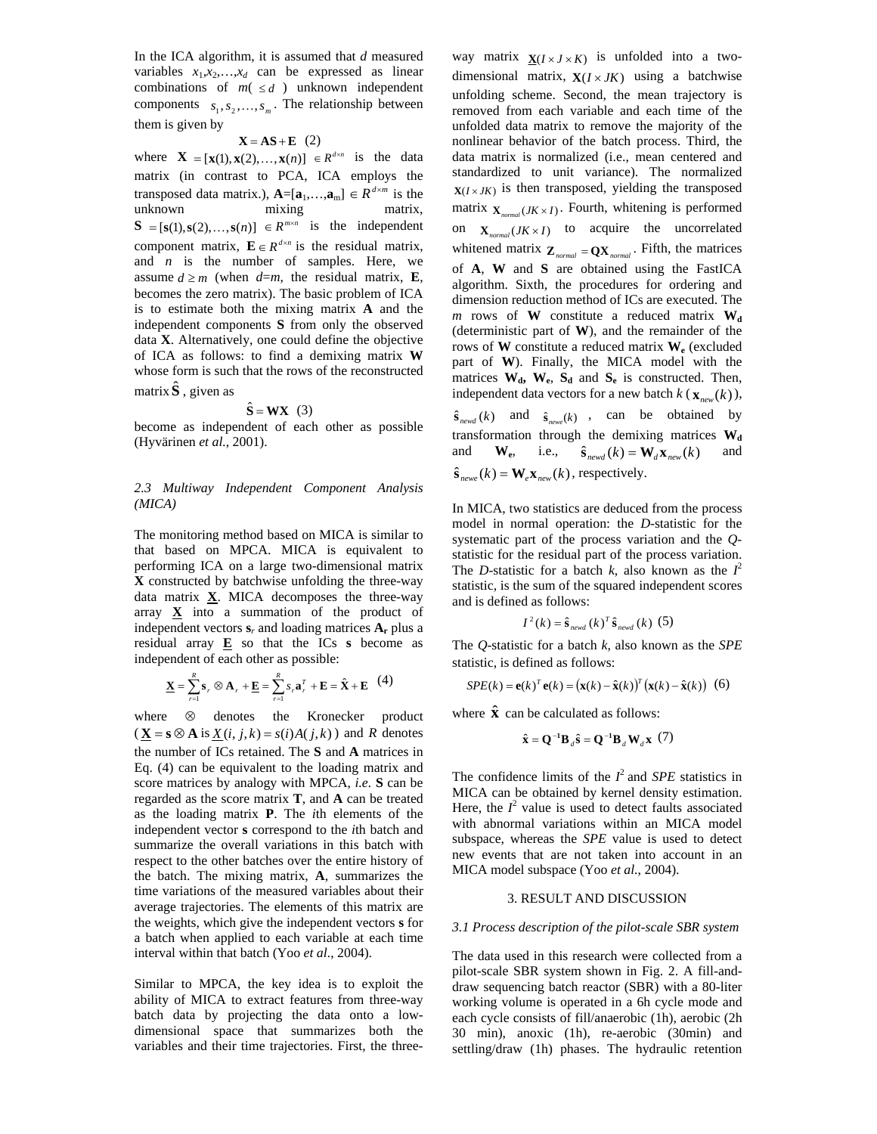In the ICA algorithm, it is assumed that *d* measured variables  $x_1, x_2, \ldots, x_d$  can be expressed as linear combinations of  $m( \le d)$  unknown independent components  $s_1, s_2, \ldots, s_m$ . The relationship between them is given by

#### $X = AS + E$  (2)

where  $\mathbf{X} = [\mathbf{x}(1), \mathbf{x}(2), \dots, \mathbf{x}(n)] \in R^{d \times n}$  is the data matrix (in contrast to PCA, ICA employs the transposed data matrix.),  $\mathbf{A} = [\mathbf{a}_1, \dots, \mathbf{a}_m] \in R^{d \times m}$  is the unknown mixing matrix, unknown mixing matrix,  $S = [s(1), s(2),...,s(n)] \in R^{m \times n}$  is the independent component matrix,  $\mathbf{E} \in R^{d \times n}$  is the residual matrix, and  $n$  is the number of samples. Here, we assume  $d \ge m$  (when  $d=m$ , the residual matrix, **E**, becomes the zero matrix). The basic problem of ICA is to estimate both the mixing matrix **A** and the independent components **S** from only the observed data **X**. Alternatively, one could define the objective of ICA as follows: to find a demixing matrix **W** whose form is such that the rows of the reconstructed matrix  $\hat{\mathbf{S}}$ , given as

## $\hat{\mathbf{S}} = \mathbf{W} \mathbf{X}$  (3)

become as independent of each other as possible (Hyvärinen *et al.*, 2001).

## *2.3 Multiway Independent Component Analysis (MICA)*

The monitoring method based on MICA is similar to that based on MPCA. MICA is equivalent to performing ICA on a large two-dimensional matrix **X** constructed by batchwise unfolding the three-way data matrix **X**. MICA decomposes the three-way array  $X$  into a summation of the product of independent vectors **s***r* and loading matrices **Ar** plus a residual array  $E$  so that the ICs **s** become as independent of each other as possible:

$$
\underline{\mathbf{X}} = \sum_{r=1}^{R} \mathbf{s}_r \otimes \mathbf{A}_r + \underline{\mathbf{E}} = \sum_{r=1}^{R} s_r \mathbf{a}_r^T + \mathbf{E} = \hat{\mathbf{X}} + \mathbf{E} \quad (4)
$$

where  $\otimes$  denotes the Kronecker product  $(\mathbf{X} = \mathbf{s} \otimes \mathbf{A} \text{ is } \mathbf{X}(i, j, k) = s(i)A(j, k)$  and *R* denotes the number of ICs retained. The **S** and **A** matrices in Eq. (4) can be equivalent to the loading matrix and score matrices by analogy with MPCA, *i.e.* **S** can be regarded as the score matrix **T**, and **A** can be treated as the loading matrix **P**. The *i*th elements of the independent vector **s** correspond to the *i*th batch and summarize the overall variations in this batch with respect to the other batches over the entire history of the batch. The mixing matrix, **A**, summarizes the time variations of the measured variables about their average trajectories. The elements of this matrix are the weights, which give the independent vectors **s** for a batch when applied to each variable at each time interval within that batch (Yoo *et al.*, 2004).

Similar to MPCA, the key idea is to exploit the ability of MICA to extract features from three-way batch data by projecting the data onto a lowdimensional space that summarizes both the variables and their time trajectories. First, the threeway matrix  $\mathbf{X}(I \times J \times K)$  is unfolded into a twodimensional matrix,  $X(I \times JK)$  using a batchwise unfolding scheme. Second, the mean trajectory is removed from each variable and each time of the unfolded data matrix to remove the majority of the nonlinear behavior of the batch process. Third, the data matrix is normalized (i.e., mean centered and standardized to unit variance). The normalized  $X(I \times JK)$  is then transposed, yielding the transposed matrix  $\mathbf{X}_{normal}(JK \times I)$ . Fourth, whitening is performed on  $\mathbf{X}_{normal}(JK \times I)$  to acquire the uncorrelated whitened matrix  $\mathbf{Z}_{normal} = \mathbf{Q}\mathbf{X}_{normal}$ . Fifth, the matrices of **A**, **W** and **S** are obtained using the FastICA algorithm. Sixth, the procedures for ordering and dimension reduction method of ICs are executed. The  $m$  rows of **W** constitute a reduced matrix  $W_d$ (deterministic part of **W**), and the remainder of the rows of **W** constitute a reduced matrix **We** (excluded part of **W**). Finally, the MICA model with the matrices  $W_d$ ,  $W_e$ ,  $S_d$  and  $S_e$  is constructed. Then, independent data vectors for a new batch  $k$  ( $\mathbf{x}_{new}(k)$ ),  $\hat{\mathbf{s}}_{newd}(k)$  and  $\hat{\mathbf{s}}_{newe}(k)$ , can be obtained by transformation through the demixing matrices  $W_d$ and  $\mathbf{W}_{e}$ , i.e.,  $\hat{\mathbf{s}}_{newd}(k) = \mathbf{W}_{d} \mathbf{x}_{new}(k)$  and  $\hat{\mathbf{s}}_{new}(k) = \mathbf{W}_{\alpha} \mathbf{x}_{new}(k)$ , respectively.

In MICA, two statistics are deduced from the process model in normal operation: the *D*-statistic for the systematic part of the process variation and the *Q*statistic for the residual part of the process variation. The *D*-statistic for a batch *k*, also known as the  $I^2$ statistic, is the sum of the squared independent scores and is defined as follows:

$$
I^{2}(k) = \hat{\mathbf{s}}_{newd} (k)^{T} \hat{\mathbf{s}}_{newd} (k) (5)
$$

The *Q*-statistic for a batch *k*, also known as the *SPE* statistic, is defined as follows:

$$
SPE(k) = \mathbf{e}(k)^{T} \mathbf{e}(k) = (\mathbf{x}(k) - \hat{\mathbf{x}}(k))^{T} (\mathbf{x}(k) - \hat{\mathbf{x}}(k))
$$
 (6)

where  $\hat{\mathbf{x}}$  can be calculated as follows:

$$
\hat{\mathbf{x}} = \mathbf{Q}^{-1} \mathbf{B}_{d} \hat{\mathbf{s}} = \mathbf{Q}^{-1} \mathbf{B}_{d} \mathbf{W}_{d} \mathbf{x} (7)
$$

The confidence limits of the  $I^2$  and *SPE* statistics in MICA can be obtained by kernel density estimation. Here, the  $I^2$  value is used to detect faults associated with abnormal variations within an MICA model subspace, whereas the *SPE* value is used to detect new events that are not taken into account in an MICA model subspace (Yoo *et al.*, 2004).

## 3. RESULT AND DISCUSSION

#### *3.1 Process description of the pilot-scale SBR system*

The data used in this research were collected from a pilot-scale SBR system shown in Fig. 2. A fill-anddraw sequencing batch reactor (SBR) with a 80-liter working volume is operated in a 6h cycle mode and each cycle consists of fill/anaerobic (1h), aerobic (2h 30 min), anoxic (1h), re-aerobic (30min) and settling/draw (1h) phases. The hydraulic retention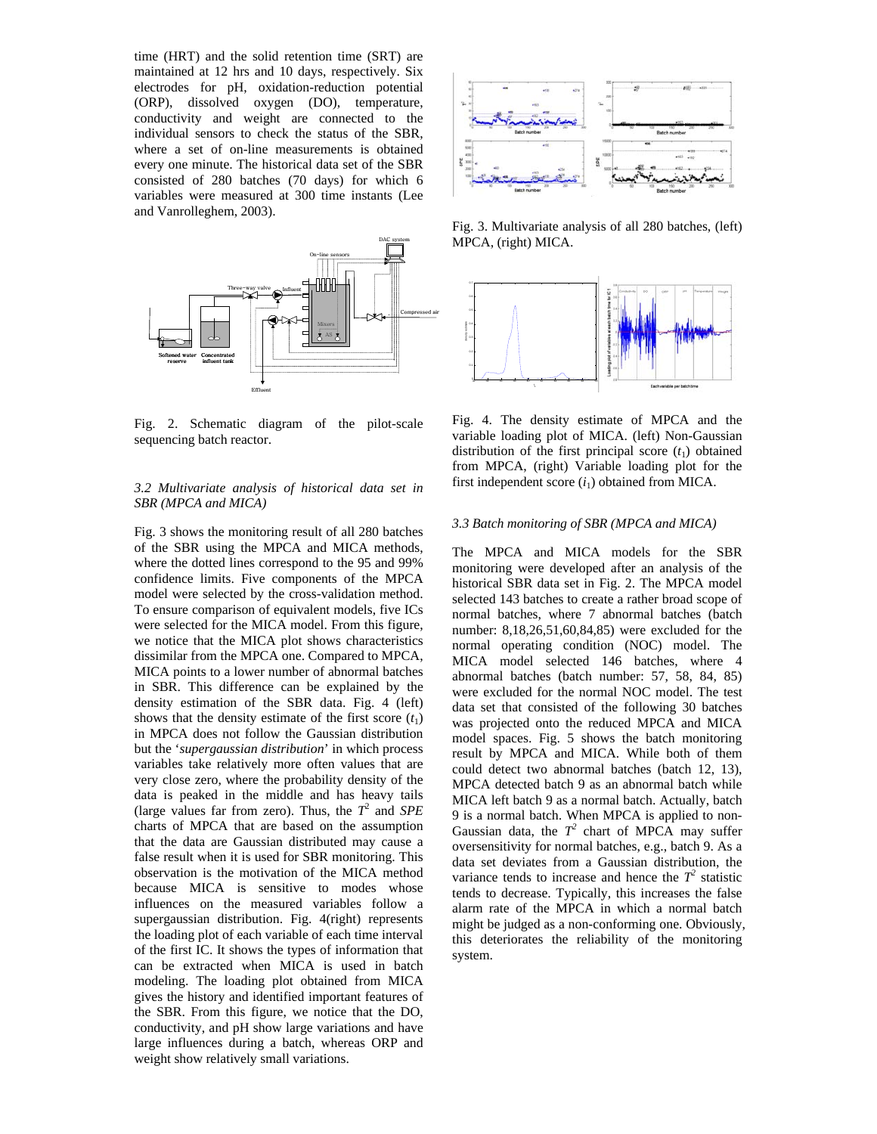time (HRT) and the solid retention time (SRT) are maintained at 12 hrs and 10 days, respectively. Six electrodes for pH, oxidation-reduction potential (ORP), dissolved oxygen (DO), temperature, conductivity and weight are connected to the individual sensors to check the status of the SBR, where a set of on-line measurements is obtained every one minute. The historical data set of the SBR consisted of 280 batches (70 days) for which 6 variables were measured at 300 time instants (Lee and Vanrolleghem, 2003).



Fig. 2. Schematic diagram of the pilot-scale sequencing batch reactor.

# *3.2 Multivariate analysis of historical data set in SBR (MPCA and MICA)*

Fig. 3 shows the monitoring result of all 280 batches of the SBR using the MPCA and MICA methods, where the dotted lines correspond to the 95 and 99% confidence limits. Five components of the MPCA model were selected by the cross-validation method. To ensure comparison of equivalent models, five ICs were selected for the MICA model. From this figure, we notice that the MICA plot shows characteristics dissimilar from the MPCA one. Compared to MPCA, MICA points to a lower number of abnormal batches in SBR. This difference can be explained by the density estimation of the SBR data. Fig. 4 (left) shows that the density estimate of the first score  $(t_1)$ in MPCA does not follow the Gaussian distribution but the '*supergaussian distribution*' in which process variables take relatively more often values that are very close zero, where the probability density of the data is peaked in the middle and has heavy tails (large values far from zero). Thus, the  $T^2$  and *SPE* charts of MPCA that are based on the assumption that the data are Gaussian distributed may cause a false result when it is used for SBR monitoring. This observation is the motivation of the MICA method because MICA is sensitive to modes whose influences on the measured variables follow a supergaussian distribution. Fig. 4(right) represents the loading plot of each variable of each time interval of the first IC. It shows the types of information that can be extracted when MICA is used in batch modeling. The loading plot obtained from MICA gives the history and identified important features of the SBR. From this figure, we notice that the DO, conductivity, and pH show large variations and have large influences during a batch, whereas ORP and weight show relatively small variations.



Fig. 3. Multivariate analysis of all 280 batches, (left) MPCA, (right) MICA.



Fig. 4. The density estimate of MPCA and the variable loading plot of MICA. (left) Non-Gaussian distribution of the first principal score  $(t_1)$  obtained from MPCA, (right) Variable loading plot for the first independent score  $(i_1)$  obtained from MICA.

#### *3.3 Batch monitoring of SBR (MPCA and MICA)*

The MPCA and MICA models for the SBR monitoring were developed after an analysis of the historical SBR data set in Fig. 2. The MPCA model selected 143 batches to create a rather broad scope of normal batches, where 7 abnormal batches (batch number: 8,18,26,51,60,84,85) were excluded for the normal operating condition (NOC) model. The MICA model selected 146 batches, where 4 abnormal batches (batch number: 57, 58, 84, 85) were excluded for the normal NOC model. The test data set that consisted of the following 30 batches was projected onto the reduced MPCA and MICA model spaces. Fig. 5 shows the batch monitoring result by MPCA and MICA. While both of them could detect two abnormal batches (batch 12, 13), MPCA detected batch 9 as an abnormal batch while MICA left batch 9 as a normal batch. Actually, batch 9 is a normal batch. When MPCA is applied to non-Gaussian data, the  $T^2$  chart of MPCA may suffer oversensitivity for normal batches, e.g., batch 9. As a data set deviates from a Gaussian distribution, the variance tends to increase and hence the  $T^2$  statistic tends to decrease. Typically, this increases the false alarm rate of the MPCA in which a normal batch might be judged as a non-conforming one. Obviously, this deteriorates the reliability of the monitoring system.